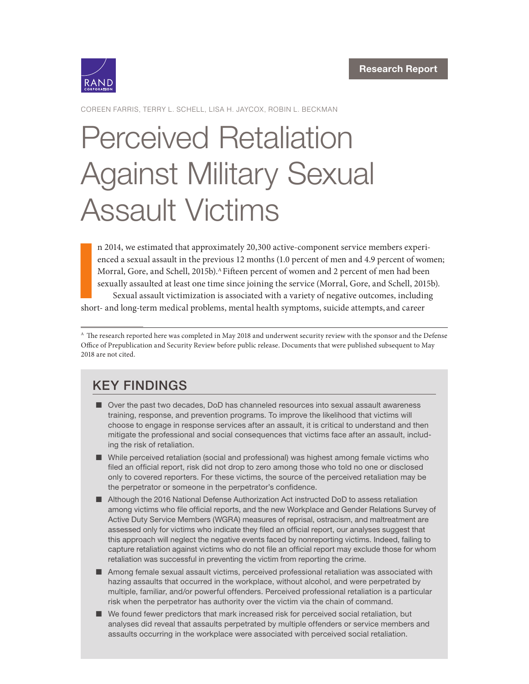

COREEN FARRIS, TERRY L. SCHELL, LISA H. JAYCOX, ROBIN L. BECKMAN

# Perceived Retaliation [Against Military Sexual](https://www.rand.org/pubs/research_reports/RR2380.html) Assault Victims

**I**<br>Shor n 2014, we estimated that approximately 20,300 active-component service members experienced a sexual assault in the previous 12 months (1.0 percent of men and 4.9 percent of women; Morral, Gore, and Schell, 2015b).<sup>A</sup> Fifteen percent of women and 2 percent of men had been sexually assaulted at least one time since joining the service (Morral, Gore, and Schell, 2015b). Sexual assault victimization is associated with a variety of negative outcomes, including

short- and long-term medical problems, mental health symptoms, suicide attempts, and career

<sup>A</sup> The research reported here was completed in May 2018 and underwent security review with the sponsor and the Defense Office of Prepublication and Security Review before public release. Documents that were published subsequent to May 2018 are not cited.

# KEY FINDINGS

- Over the past two decades, DoD has channeled resources into sexual assault awareness training, response, and prevention programs. To improve the likelihood that victims will choose to engage in response services after an assault, it is critical to understand and then mitigate the professional and social consequences that victims face after an assault, including the risk of retaliation.
- While perceived retaliation (social and professional) was highest among female victims who filed an official report, risk did not drop to zero among those who told no one or disclosed only to covered reporters. For these victims, the source of the perceived retaliation may be the perpetrator or someone in the perpetrator's confidence.
- Although the 2016 National Defense Authorization Act instructed DoD to assess retaliation among victims who file official reports, and the new Workplace and Gender Relations Survey of Active Duty Service Members (WGRA) measures of reprisal, ostracism, and maltreatment are assessed only for victims who indicate they filed an official report, our analyses suggest that this approach will neglect the negative events faced by nonreporting victims. Indeed, failing to capture retaliation against victims who do not file an official report may exclude those for whom retaliation was successful in preventing the victim from reporting the crime.
- Among female sexual assault victims, perceived professional retaliation was associated with hazing assaults that occurred in the workplace, without alcohol, and were perpetrated by multiple, familiar, and/or powerful offenders. Perceived professional retaliation is a particular risk when the perpetrator has authority over the victim via the chain of command.
- We found fewer predictors that mark increased risk for perceived social retaliation, but analyses did reveal that assaults perpetrated by multiple offenders or service members and assaults occurring in the workplace were associated with perceived social retaliation.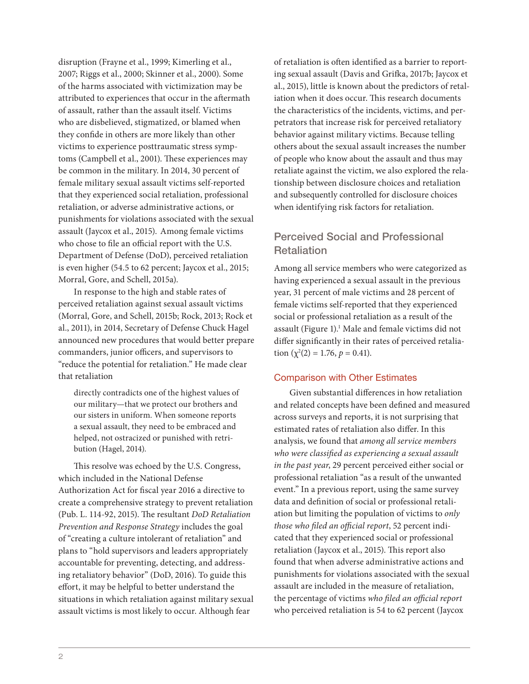disruption (Frayne et al., 1999; Kimerling et al., 2007; Riggs et al., 2000; Skinner et al., 2000). Some of the harms associated with victimization may be attributed to experiences that occur in the aftermath of assault, rather than the assault itself. Victims who are disbelieved, stigmatized, or blamed when they confide in others are more likely than other victims to experience posttraumatic stress symptoms (Campbell et al., 2001). These experiences may be common in the military. In 2014, 30 percent of female military sexual assault victims self-reported that they experienced social retaliation, professional retaliation, or adverse administrative actions, or punishments for violations associated with the sexual assault (Jaycox et al., 2015). Among female victims who chose to file an official report with the U.S. Department of Defense (DoD), perceived retaliation is even higher (54.5 to 62 percent; Jaycox et al., 2015; Morral, Gore, and Schell, 2015a).

In response to the high and stable rates of perceived retaliation against sexual assault victims (Morral, Gore, and Schell, 2015b; Rock, 2013; Rock et al., 2011), in 2014, Secretary of Defense Chuck Hagel announced new procedures that would better prepare commanders, junior officers, and supervisors to "reduce the potential for retaliation." He made clear that retaliation

directly contradicts one of the highest values of our military—that we protect our brothers and our sisters in uniform. When someone reports a sexual assault, they need to be embraced and helped, not ostracized or punished with retribution (Hagel, 2014).

This resolve was echoed by the U.S. Congress, which included in the National Defense Authorization Act for fiscal year 2016 a directive to create a comprehensive strategy to prevent retaliation (Pub. L. 114-92, 2015). The resultant *DoD Retaliation Prevention and Response Strategy* includes the goal of "creating a culture intolerant of retaliation" and plans to "hold supervisors and leaders appropriately accountable for preventing, detecting, and addressing retaliatory behavior" (DoD, 2016). To guide this effort, it may be helpful to better understand the situations in which retaliation against military sexual assault victims is most likely to occur. Although fear

of retaliation is often identified as a barrier to reporting sexual assault (Davis and Grifka, 2017b; Jaycox et al., 2015), little is known about the predictors of retaliation when it does occur. This research documents the characteristics of the incidents, victims, and perpetrators that increase risk for perceived retaliatory behavior against military victims. Because telling others about the sexual assault increases the number of people who know about the assault and thus may retaliate against the victim, we also explored the relationship between disclosure choices and retaliation and subsequently controlled for disclosure choices when identifying risk factors for retaliation.

# Perceived Social and Professional **Retaliation**

Among all service members who were categorized as having experienced a sexual assault in the previous year, 31 percent of male victims and 28 percent of female victims self-reported that they experienced social or professional retaliation as a result of the assault (Figure 1).1 Male and female victims did not differ significantly in their rates of perceived retaliation  $(\chi^2(2) = 1.76, p = 0.41)$ .

### Comparison with Other Estimates

Given substantial differences in how retaliation and related concepts have been defined and measured across surveys and reports, it is not surprising that estimated rates of retaliation also differ. In this analysis, we found that *among all service members who were classified as experiencing a sexual assault in the past year*, 29 percent perceived either social or professional retaliation "as a result of the unwanted event." In a previous report, using the same survey data and definition of social or professional retaliation but limiting the population of victims to *only those who filed an official report*, 52 percent indicated that they experienced social or professional retaliation (Jaycox et al., 2015). This report also found that when adverse administrative actions and punishments for violations associated with the sexual assault are included in the measure of retaliation, the percentage of victims *who filed an official report* who perceived retaliation is 54 to 62 percent (Jaycox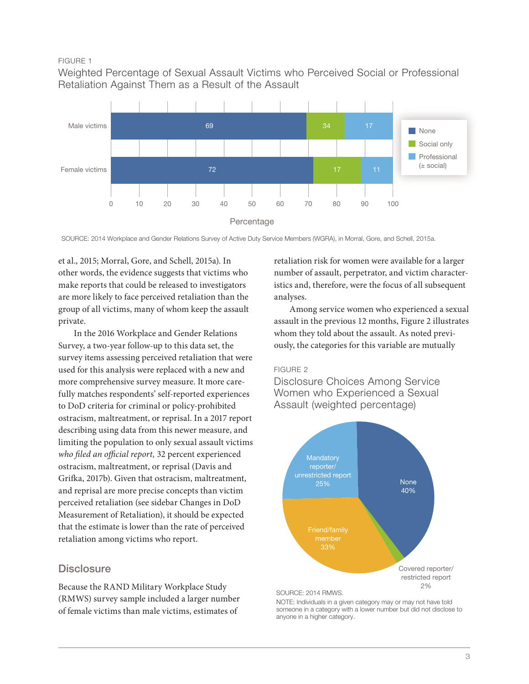#### FIGURE 1

Weighted Percentage of Sexual Assault Victims who Perceived Social or Professional Retaliation Against Them as a Result of the Assault



SOURCE: 2014 Workplace and Gender Relations Survey of Active Duty Service Members (WGRA), in Morral, Gore, and Schell, 2015a.

et al., 2015; Morral, Gore, and Schell, 2015a). In other words, the evidence suggests that victims who make reports that could be released to investigators are more likely to face perceived retaliation than the group of all victims, many of whom keep the assault private.

In the 2016 Workplace and Gender Relations Survey, a two-year follow-up to this data set, the survey items assessing perceived retaliation that were used for this analysis were replaced with a new and more comprehensive survey measure. It more carefully matches respondents' self-reported experiences to DoD criteria for criminal or policy-prohibited ostracism, maltreatment, or reprisal. In a 2017 report describing using data from this newer measure, and limiting the population to only sexual assault victims who filed an official report, 32 percent experienced ostracism, maltreatment, or reprisal (Davis and Grifka, 2017b). Given that ostracism, maltreatment, and reprisal are more precise concepts than victim perceived retaliation (see sidebar Changes in DoD Measurement of Retaliation), it should be expected that the estimate is lower than the rate of perceived retaliation among victims who report.

# **Disclosure**

Because the RAND Military Workplace Study (RMWS) survey sample included a larger number of female victims than male victims, estimates of

retaliation risk for women were available for a larger number of assault, perpetrator, and victim characteristics and, therefore, were the focus of all subsequent analyses.

Among service women who experienced a sexual assault in the previous 12 months, Figure 2 illustrates whom they told about the assault. As noted previously, the categories for this variable are mutually

#### FIGURE 2

Disclosure Choices Among Service Women who Experienced a Sexual Assault (weighted percentage)



SOURCE: 2014 RMWS.

NOTE: Individuals in a given category may or may not have told someone in a category with a lower number but did not disclose to anyone in a higher category.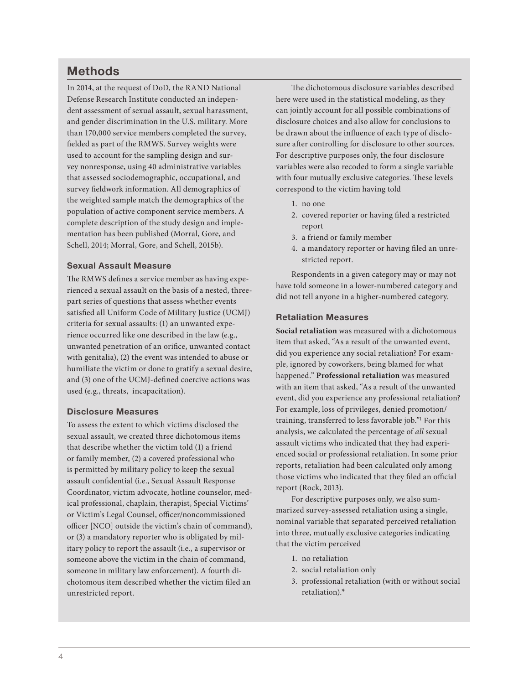# Methods

In 2014, at the request of DoD, the RAND National Defense Research Institute conducted an independent assessment of sexual assault, sexual harassment, and gender discrimination in the U.S. military. More than 170,000 service members completed the survey, fielded as part of the RMWS. Survey weights were used to account for the sampling design and survey nonresponse, using 40 administrative variables that assessed sociodemographic, occupational, and survey fieldwork information. All demographics of the weighted sample match the demographics of the population of active component service members. A complete description of the study design and implementation has been published (Morral, Gore, and Schell, 2014; Morral, Gore, and Schell, 2015b).

## Sexual Assault Measure

The RMWS defines a service member as having experienced a sexual assault on the basis of a nested, threepart series of questions that assess whether events satisfied all Uniform Code of Military Justice (UCMJ) criteria for sexual assaults: (1) an unwanted experience occurred like one described in the law (e.g., unwanted penetration of an orifice, unwanted contact with genitalia), (2) the event was intended to abuse or humiliate the victim or done to gratify a sexual desire, and (3) one of the UCMJ-defined coercive actions was used (e.g., threats, incapacitation).

#### Disclosure Measures

To assess the extent to which victims disclosed the sexual assault, we created three dichotomous items that describe whether the victim told (1) a friend or family member, (2) a covered professional who is permitted by military policy to keep the sexual assault confidential (i.e., Sexual Assault Response Coordinator, victim advocate, hotline counselor, medical professional, chaplain, therapist, Special Victims' or Victim's Legal Counsel, officer/noncommissioned officer [NCO] outside the victim's chain of command), or (3) a mandatory reporter who is obligated by military policy to report the assault (i.e., a supervisor or someone above the victim in the chain of command, someone in military law enforcement). A fourth dichotomous item described whether the victim filed an unrestricted report.

The dichotomous disclosure variables described here were used in the statistical modeling, as they can jointly account for all possible combinations of disclosure choices and also allow for conclusions to be drawn about the influence of each type of disclosure after controlling for disclosure to other sources. For descriptive purposes only, the four disclosure variables were also recoded to form a single variable with four mutually exclusive categories. These levels correspond to the victim having told

- 1. no one
- 2. covered reporter or having filed a restricted report
- 3. a friend or family member
- 4. a mandatory reporter or having filed an unrestricted report.

Respondents in a given category may or may not have told someone in a lower-numbered category and did not tell anyone in a higher-numbered category.

#### Retaliation Measures

**Social retaliation** was measured with a dichotomous item that asked, "As a result of the unwanted event, did you experience any social retaliation? For example, ignored by coworkers, being blamed for what happened." **Professional retaliation** was measured with an item that asked, "As a result of the unwanted event, did you experience any professional retaliation? For example, loss of privileges, denied promotion/ training, transferred to less favorable job."<sup>1</sup> For this analysis, we calculated the percentage of *all* sexual assault victims who indicated that they had experienced social or professional retaliation. In some prior reports, retaliation had been calculated only among those victims who indicated that they filed an official report (Rock, 2013).

For descriptive purposes only, we also summarized survey-assessed retaliation using a single, nominal variable that separated perceived retaliation into three, mutually exclusive categories indicating that the victim perceived

- 1. no retaliation
- 2. social retaliation only
- 3. professional retaliation (with or without social retaliation).\*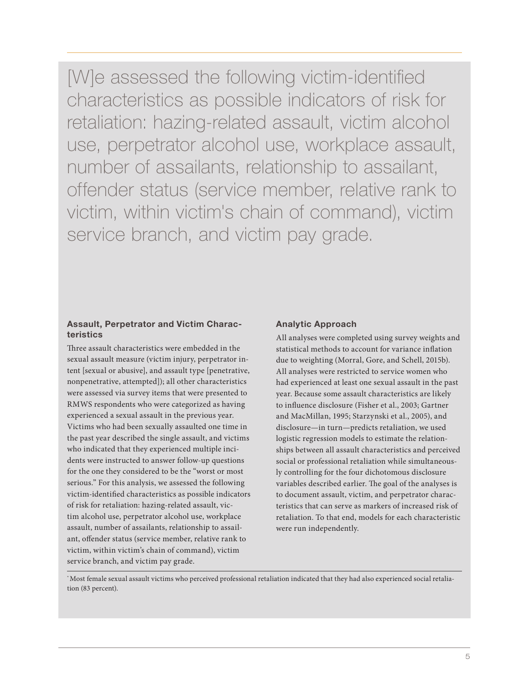[W]e assessed the following victim-identified characteristics as possible indicators of risk for retaliation: hazing-related assault, victim alcohol use, perpetrator alcohol use, workplace assault, number of assailants, relationship to assailant, offender status (service member, relative rank to victim, within victim's chain of command), victim service branch, and victim pay grade.

#### Assault, Perpetrator and Victim Characteristics

Three assault characteristics were embedded in the sexual assault measure (victim injury, perpetrator intent [sexual or abusive], and assault type [penetrative, nonpenetrative, attempted]); all other characteristics were assessed via survey items that were presented to RMWS respondents who were categorized as having experienced a sexual assault in the previous year. Victims who had been sexually assaulted one time in the past year described the single assault, and victims who indicated that they experienced multiple incidents were instructed to answer follow-up questions for the one they considered to be the "worst or most serious." For this analysis, we assessed the following victim-identified characteristics as possible indicators of risk for retaliation: hazing-related assault, victim alcohol use, perpetrator alcohol use, workplace assault, number of assailants, relationship to assailant, offender status (service member, relative rank to victim, within victim's chain of command), victim service branch, and victim pay grade.

# Analytic Approach

All analyses were completed using survey weights and statistical methods to account for variance inflation due to weighting (Morral, Gore, and Schell, 2015b). All analyses were restricted to service women who had experienced at least one sexual assault in the past year. Because some assault characteristics are likely to influence disclosure (Fisher et al., 2003; Gartner and MacMillan, 1995; Starzynski et al., 2005), and disclosure—in turn—predicts retaliation, we used logistic regression models to estimate the relationships between all assault characteristics and perceived social or professional retaliation while simultaneously controlling for the four dichotomous disclosure variables described earlier. The goal of the analyses is to document assault, victim, and perpetrator characteristics that can serve as markers of increased risk of retaliation. To that end, models for each characteristic were run independently.

\* Most female sexual assault victims who perceived professional retaliation indicated that they had also experienced social retaliation (83 percent).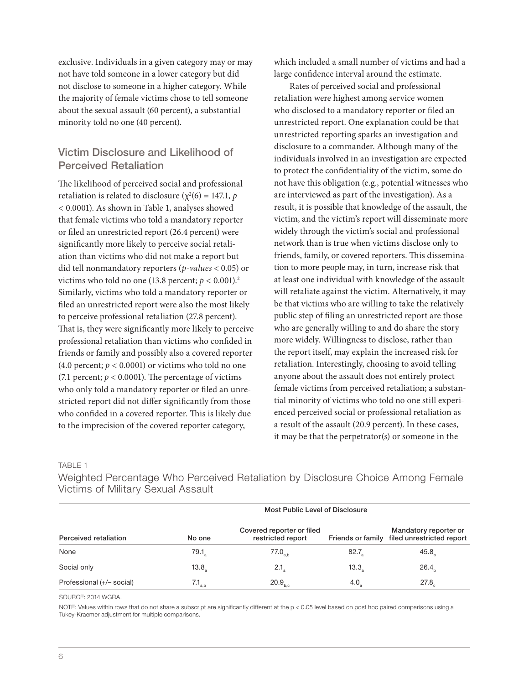exclusive. Individuals in a given category may or may not have told someone in a lower category but did not disclose to someone in a higher category. While the majority of female victims chose to tell someone about the sexual assault (60 percent), a substantial minority told no one (40 percent).

# Victim Disclosure and Likelihood of Perceived Retaliation

The likelihood of perceived social and professional retaliation is related to disclosure ( $\chi^2(6) = 147.1$ ,  $p$ *<* 0.0001). As shown in Table 1, analyses showed that female victims who told a mandatory reporter or filed an unrestricted report (26.4 percent) were significantly more likely to perceive social retaliation than victims who did not make a report but did tell nonmandatory reporters (*p-values* < 0.05) or victims who told no one (13.8 percent;  $p < 0.001$ ).<sup>2</sup> Similarly, victims who told a mandatory reporter or filed an unrestricted report were also the most likely to perceive professional retaliation (27.8 percent). That is, they were significantly more likely to perceive professional retaliation than victims who confided in friends or family and possibly also a covered reporter (4.0 percent;  $p < 0.0001$ ) or victims who told no one (7.1 percent;  $p < 0.0001$ ). The percentage of victims who only told a mandatory reporter or filed an unrestricted report did not differ significantly from those who confided in a covered reporter. This is likely due to the imprecision of the covered reporter category,

which included a small number of victims and had a large confidence interval around the estimate.

Rates of perceived social and professional retaliation were highest among service women who disclosed to a mandatory reporter or filed an unrestricted report. One explanation could be that unrestricted reporting sparks an investigation and disclosure to a commander. Although many of the individuals involved in an investigation are expected to protect the confidentiality of the victim, some do not have this obligation (e.g., potential witnesses who are interviewed as part of the investigation). As a result, it is possible that knowledge of the assault, the victim, and the victim's report will disseminate more widely through the victim's social and professional network than is true when victims disclose only to friends, family, or covered reporters. This dissemination to more people may, in turn, increase risk that at least one individual with knowledge of the assault will retaliate against the victim. Alternatively, it may be that victims who are willing to take the relatively public step of filing an unrestricted report are those who are generally willing to and do share the story more widely. Willingness to disclose, rather than the report itself, may explain the increased risk for retaliation. Interestingly, choosing to avoid telling anyone about the assault does not entirely protect female victims from perceived retaliation; a substantial minority of victims who told no one still experienced perceived social or professional retaliation as a result of the assault (20.9 percent). In these cases, it may be that the perpetrator(s) or someone in the

#### TABLE 1

Weighted Percentage Who Perceived Retaliation by Disclosure Choice Among Female Victims of Military Sexual Assault

| Perceived retaliation     | <b>Most Public Level of Disclosure</b> |                                                |      |                                                                      |
|---------------------------|----------------------------------------|------------------------------------------------|------|----------------------------------------------------------------------|
|                           | No one                                 | Covered reporter or filed<br>restricted report |      | Mandatory reporter or<br>Friends or family filed unrestricted report |
| None                      | 79.1 <sub>a</sub>                      | $77.0_{a,b}$                                   | 82.7 | 45.8 <sub>h</sub>                                                    |
| Social only               | 13.8 <sub>2</sub>                      | 2.1 <sub>a</sub>                               | 13.3 | 26.4 <sub>b</sub>                                                    |
| Professional (+/- social) | $7.1_{\scriptscriptstyle{\text{a,b}}}$ | 20.9 <sub>b,c</sub>                            | 4.0  | 27.8 <sub>c</sub>                                                    |

SOURCE: 2014 WGRA.

NOTE: Values within rows that do not share a subscript are significantly different at the p < 0.05 level based on post hoc paired comparisons using a Tukey-Kraemer adjustment for multiple comparisons.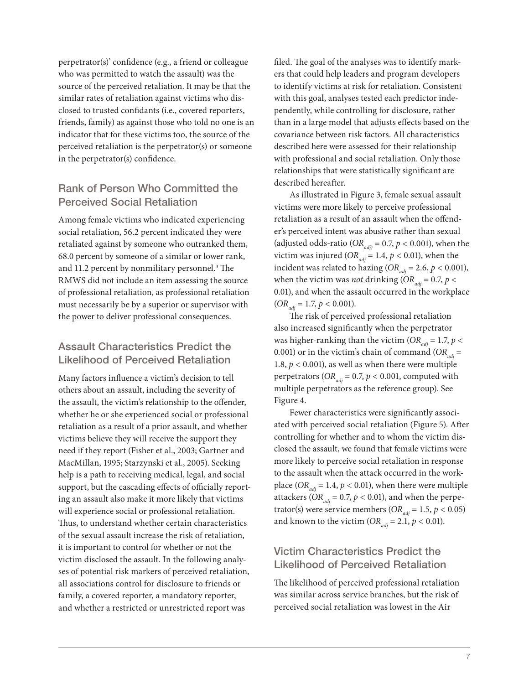perpetrator(s)' confidence (e.g., a friend or colleague who was permitted to watch the assault) was the source of the perceived retaliation. It may be that the similar rates of retaliation against victims who disclosed to trusted confidants (i.e., covered reporters, friends, family) as against those who told no one is an indicator that for these victims too, the source of the perceived retaliation is the perpetrator(s) or someone in the perpetrator(s) confidence.

# Rank of Person Who Committed the Perceived Social Retaliation

Among female victims who indicated experiencing social retaliation, 56.2 percent indicated they were retaliated against by someone who outranked them, 68.0 percent by someone of a similar or lower rank, and 11.2 percent by nonmilitary personnel.<sup>3</sup> The RMWS did not include an item assessing the source of professional retaliation, as professional retaliation must necessarily be by a superior or supervisor with the power to deliver professional consequences.

# Assault Characteristics Predict the Likelihood of Perceived Retaliation

Many factors influence a victim's decision to tell others about an assault, including the severity of the assault, the victim's relationship to the offender, whether he or she experienced social or professional retaliation as a result of a prior assault, and whether victims believe they will receive the support they need if they report (Fisher et al., 2003; Gartner and MacMillan, 1995; Starzynski et al., 2005). Seeking help is a path to receiving medical, legal, and social support, but the cascading effects of officially reporting an assault also make it more likely that victims will experience social or professional retaliation. Thus, to understand whether certain characteristics of the sexual assault increase the risk of retaliation, it is important to control for whether or not the victim disclosed the assault. In the following analyses of potential risk markers of perceived retaliation, all associations control for disclosure to friends or family, a covered reporter, a mandatory reporter, and whether a restricted or unrestricted report was

filed. The goal of the analyses was to identify markers that could help leaders and program developers to identify victims at risk for retaliation. Consistent with this goal, analyses tested each predictor independently, while controlling for disclosure, rather than in a large model that adjusts effects based on the covariance between risk factors. All characteristics described here were assessed for their relationship with professional and social retaliation. Only those relationships that were statistically significant are described hereafter.

As illustrated in Figure 3, female sexual assault victims were more likely to perceive professional retaliation as a result of an assault when the offender's perceived intent was abusive rather than sexual (adjusted odds-ratio ( $OR_{\text{adj}} = 0.7$ ,  $p < 0.001$ ), when the victim was injured ( $OR_{adi} = 1.4$ ,  $p < 0.01$ ), when the incident was related to hazing ( $OR_{adi} = 2.6$ ,  $p < 0.001$ ), when the victim was *not* drinking ( $OR_{adi} = 0.7$ ,  $p <$ 0.01), and when the assault occurred in the workplace  $(OR_{adi} = 1.7, p < 0.001).$ 

The risk of perceived professional retaliation also increased significantly when the perpetrator was higher-ranking than the victim ( $OR_{adi} = 1.7$ ,  $p <$ 0.001) or in the victim's chain of command  $(OR_{ad} =$ 1.8,  $p < 0.001$ ), as well as when there were multiple perpetrators ( $OR_{adi} = 0.7$ ,  $p < 0.001$ , computed with multiple perpetrators as the reference group). See Figure 4.

Fewer characteristics were significantly associated with perceived social retaliation (Figure 5). After controlling for whether and to whom the victim disclosed the assault, we found that female victims were more likely to perceive social retaliation in response to the assault when the attack occurred in the workplace ( $OR_{adi} = 1.4$ ,  $p < 0.01$ ), when there were multiple attackers ( $OR_{adi} = 0.7$ ,  $p < 0.01$ ), and when the perpetrator(s) were service members ( $OR_{adj} = 1.5, p < 0.05$ ) and known to the victim ( $OR_{adi} = 2.1, p < 0.01$ ).

# Victim Characteristics Predict the Likelihood of Perceived Retaliation

The likelihood of perceived professional retaliation was similar across service branches, but the risk of perceived social retaliation was lowest in the Air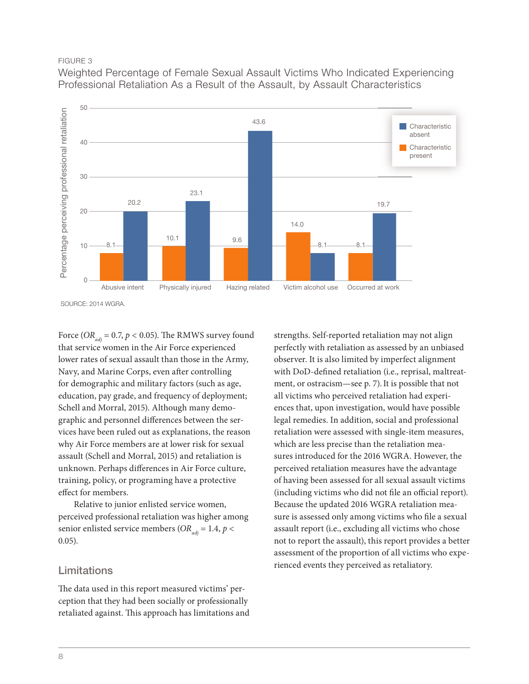#### FIGURE 3

Weighted Percentage of Female Sexual Assault Victims Who Indicated Experiencing Professional Retaliation As a Result of the Assault, by Assault Characteristics



Force ( $OR_{adi}$  = 0.7,  $p$  < 0.05). The RMWS survey found that service women in the Air Force experienced lower rates of sexual assault than those in the Army, Navy, and Marine Corps, even after controlling for demographic and military factors (such as age, education, pay grade, and frequency of deployment; Schell and Morral, 2015). Although many demographic and personnel differences between the services have been ruled out as explanations, the reason why Air Force members are at lower risk for sexual assault (Schell and Morral, 2015) and retaliation is unknown. Perhaps differences in Air Force culture, training, policy, or programing have a protective effect for members.

Relative to junior enlisted service women, perceived professional retaliation was higher among senior enlisted service members ( $OR_{adi} = 1.4$ ,  $p <$ 0.05).

# Limitations

The data used in this report measured victims' perception that they had been socially or professionally retaliated against. This approach has limitations and

strengths. Self-reported retaliation may not align perfectly with retaliation as assessed by an unbiased observer. It is also limited by imperfect alignment with DoD-defined retaliation (i.e., reprisal, maltreatment, or ostracism—see p. 7). It is possible that not all victims who perceived retaliation had experiences that, upon investigation, would have possible legal remedies. In addition, social and professional retaliation were assessed with single-item measures, which are less precise than the retaliation measures introduced for the 2016 WGRA. However, the perceived retaliation measures have the advantage of having been assessed for all sexual assault victims (including victims who did not file an official report). Because the updated 2016 WGRA retaliation measure is assessed only among victims who file a sexual assault report (i.e., excluding all victims who chose not to report the assault), this report provides a better assessment of the proportion of all victims who experienced events they perceived as retaliatory.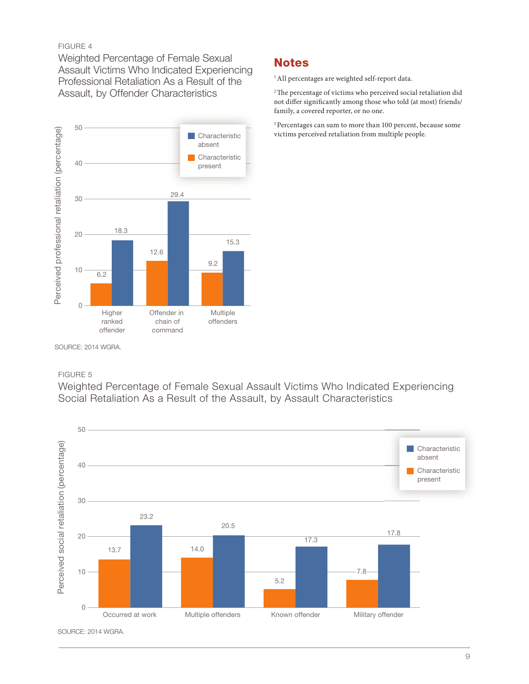#### FIGURE 4

Weighted Percentage of Female Sexual Assault Victims Who Indicated Experiencing Professional Retaliation As a Result of the Assault, by Offender Characteristics



# **Notes**

<sup>1</sup> All percentages are weighted self-report data.

<sup>2</sup> The percentage of victims who perceived social retaliation did not differ significantly among those who told (at most) friends/ family, a covered reporter, or no one.

3 Percentages can sum to more than 100 percent, because some victims perceived retaliation from multiple people.

SOURCE: 2014 WGRA.

### FIGURE 5

Weighted Percentage of Female Sexual Assault Victims Who Indicated Experiencing Social Retaliation As a Result of the Assault, by Assault Characteristics



SOURCE: 2014 WGRA.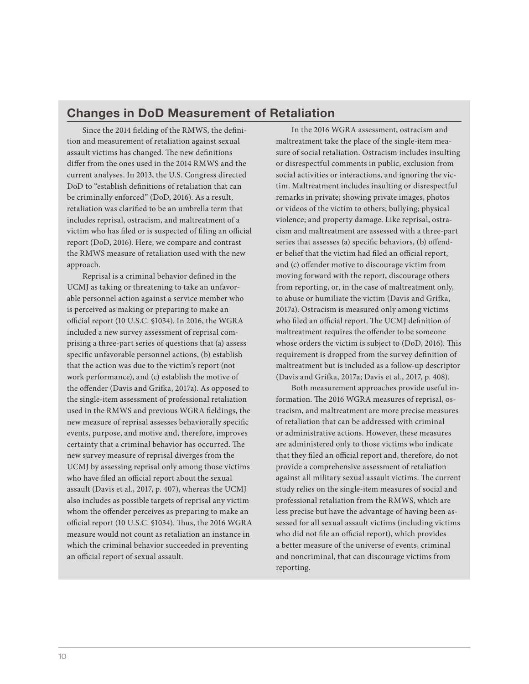# Changes in DoD Measurement of Retaliation

Since the 2014 fielding of the RMWS, the definition and measurement of retaliation against sexual assault victims has changed. The new definitions differ from the ones used in the 2014 RMWS and the current analyses. In 2013, the U.S. Congress directed DoD to "establish definitions of retaliation that can be criminally enforced" (DoD, 2016). As a result, retaliation was clarified to be an umbrella term that includes reprisal, ostracism, and maltreatment of a victim who has filed or is suspected of filing an official report (DoD, 2016). Here, we compare and contrast the RMWS measure of retaliation used with the new approach.

Reprisal is a criminal behavior defined in the UCMJ as taking or threatening to take an unfavorable personnel action against a service member who is perceived as making or preparing to make an official report (10 U.S.C. §1034). In 2016, the WGRA included a new survey assessment of reprisal comprising a three-part series of questions that (a) assess specific unfavorable personnel actions, (b) establish that the action was due to the victim's report (not work performance), and (c) establish the motive of the offender (Davis and Grifka, 2017a). As opposed to the single-item assessment of professional retaliation used in the RMWS and previous WGRA fieldings, the new measure of reprisal assesses behaviorally specific events, purpose, and motive and, therefore, improves certainty that a criminal behavior has occurred. The new survey measure of reprisal diverges from the UCMJ by assessing reprisal only among those victims who have filed an official report about the sexual assault (Davis et al., 2017, p. 407), whereas the UCMJ also includes as possible targets of reprisal any victim whom the offender perceives as preparing to make an official report (10 U.S.C. §1034). Thus, the 2016 WGRA measure would not count as retaliation an instance in which the criminal behavior succeeded in preventing an official report of sexual assault.

In the 2016 WGRA assessment, ostracism and maltreatment take the place of the single-item measure of social retaliation. Ostracism includes insulting or disrespectful comments in public, exclusion from social activities or interactions, and ignoring the victim. Maltreatment includes insulting or disrespectful remarks in private; showing private images, photos or videos of the victim to others; bullying; physical violence; and property damage. Like reprisal, ostracism and maltreatment are assessed with a three-part series that assesses (a) specific behaviors, (b) offender belief that the victim had filed an official report, and (c) offender motive to discourage victim from moving forward with the report, discourage others from reporting, or, in the case of maltreatment only, to abuse or humiliate the victim (Davis and Grifka, 2017a). Ostracism is measured only among victims who filed an official report. The UCMJ definition of maltreatment requires the offender to be someone whose orders the victim is subject to (DoD, 2016). This requirement is dropped from the survey definition of maltreatment but is included as a follow-up descriptor (Davis and Grifka, 2017a; Davis et al., 2017, p. 408).

Both measurement approaches provide useful information. The 2016 WGRA measures of reprisal, ostracism, and maltreatment are more precise measures of retaliation that can be addressed with criminal or administrative actions. However, these measures are administered only to those victims who indicate that they filed an official report and, therefore, do not provide a comprehensive assessment of retaliation against all military sexual assault victims. The current study relies on the single-item measures of social and professional retaliation from the RMWS, which are less precise but have the advantage of having been assessed for all sexual assault victims (including victims who did not file an official report), which provides a better measure of the universe of events, criminal and noncriminal, that can discourage victims from reporting.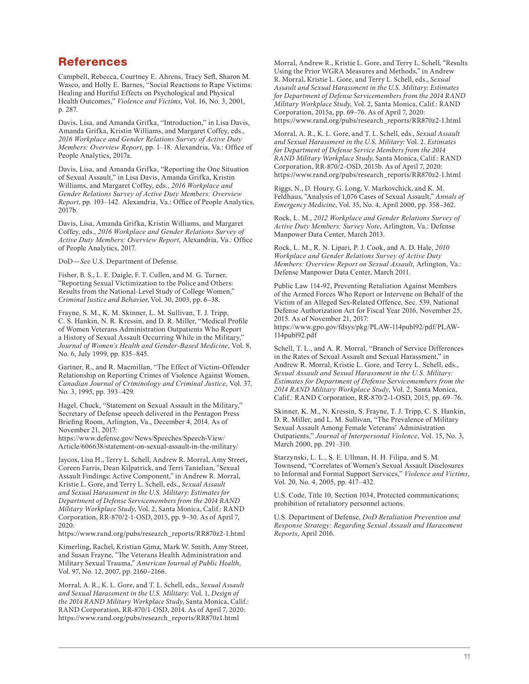# References

Campbell, Rebecca, Courtney E. Ahrens, Tracy Sefl, Sharon M. Wasco, and Holly E. Barnes, "Social Reactions to Rape Victims: Healing and Hurtful Effects on Psychological and Physical Health Outcomes," *Violence and Victims*, Vol. 16, No. 3, 2001, p. 287.

Davis, Lisa, and Amanda Grifka, "Introduction," in Lisa Davis, Amanda Grifka, Kristin Williams, and Margaret Coffey, eds., *2016 Workplace and Gender Relations Survey of Active Duty Members: Overview Report*, pp. 1–18*.* Alexandria, Va.: Office of People Analytics, 2017a.

Davis, Lisa, and Amanda Grifka, "Reporting the One Situation of Sexual Assault," in Lisa Davis, Amanda Grifka, Kristin Williams, and Margaret Coffey, eds., *2016 Workplace and Gender Relations Survey of Active Duty Members: Overview Report*, pp. 103–142*.* Alexandria, Va.: Office of People Analytics, 2017b.

Davis, Lisa, Amanda Grifka, Kristin Williams, and Margaret Coffey, eds., *2016 Workplace and Gender Relations Survey of Active Duty Members: Overview Report*, Alexandria, Va.: Office of People Analytics, 2017.

DoD—*See* U.S. Department of Defense.

Fisher, B. S., L. E. Daigle, F. T. Cullen, and M. G. Turner, "Reporting Sexual Victimization to the Police and Others: Results from the National-Level Study of College Women," *Criminal Justice and Behavior*, Vol. 30, 2003, pp. 6–38.

Frayne, S. M., K. M. Skinner, L. M. Sullivan, T. J. Tripp, C. S. Hankin, N. R. Kressin, and D. R. Miller, "Medical Profile of Women Veterans Administration Outpatients Who Report a History of Sexual Assault Occurring While in the Military," *Journal of Women's Health and Gender-Based Medicine*, Vol. 8, No. 6, July 1999, pp. 835–845.

Gartner, R., and R. Macmillan, "The Effect of Victim-Offender Relationship on Reporting Crimes of Violence Against Women, *Canadian Journal of Criminology and Criminal Justice*, Vol. 37, No. 3, 1995, pp. 393–429.

Hagel, Chuck, "Statement on Sexual Assault in the Military," Secretary of Defense speech delivered in the Pentagon Press Briefing Room, Arlington, Va., December 4, 2014. As of November 21, 2017:

https://www.defense.gov/News/Speeches/Speech-View/ [Article/606638/statement-on-sexual-assault-in-the-military/](https://www.defense.gov/News/Speeches/Speech-View/Article/606638/statement-on-sexual-assault-in-the-military/) 

Jaycox, Lisa H., Terry L. Schell, Andrew R. Morral, Amy Street, Coreen Farris, Dean Kilpatrick, and Terri Tanielian, "Sexual Assault Findings: Active Component," in Andrew R. Morral, Kristie L. Gore, and Terry L. Schell, eds., *Sexual Assault and Sexual Harassment in the U.S. Military: Estimates for Department of Defense Servicemembers from the 2014 RAND Military Workplace Study*, Vol. 2, Santa Monica, Calif.: RAND Corporation, RR-870/2-1-OSD, 2015, pp. 9–30. As of April 7,  $2020:$ 

[https://www.rand.org/pubs/research\\_reports/RR870z2-1.html](https://www.rand.org/pubs/research_reports/RR870z2-1.html)

Kimerling, Rachel, Kristian Gima, Mark W. Smith, Amy Street, and Susan Frayne, "The Veterans Health Administration and Military Sexual Trauma," *American Journal of Public Health*, Vol. 97, No. 12, 2007, pp. 2160–2166.

Morral, A. R., K. L. Gore, and T. L. Schell, eds., *Sexual Assault and Sexual Harassment in the U.S. Military:* Vol. 1, *Design of the 2014 RAND Military Workplace Study*, Santa Monica, Calif.: RAND Corporation, RR-870/1-OSD, 2014. As of April 7, 2020: [https://www.rand.org/pubs/research\\_reports/RR870z1.html](https://www.rand.org/pubs/research_reports/RR870z1.html)

Morral, Andrew R., Kristie L. Gore, and Terry L. Schell, "Results Using the Prior WGRA Measures and Methods," in Andrew R. Morral, Kristie L. Gore, and Terry L. Schell, eds., *Sexual Assault and Sexual Harassment in the U.S. Military: Estimates for Department of Defense Servicemembers from the 2014 RAND Military Workplace Study,* Vol. 2, Santa Monica, Calif.: RAND Corporation, 2015a, pp. 69–76. As of April 7, 2020: [https://www.rand.org/pubs/research\\_reports/RR870z2-1.html](https://www.rand.org/pubs/research_reports/RR870z2-1.html)

Morral, A. R., K. L. Gore, and T. L. Schell, eds., *Sexual Assault and Sexual Harassment in the U.S. Military:* Vol. 2. *Estimates for Department of Defense Service Members from the 2014 RAND Military Workplace Study*, Santa Monica, Calif.: RAND Corporation, RR-870/2-OSD, 2015b. As of April 7, 2020: [https://www.rand.org/pubs/research\\_reports/RR870z2-1.html](https://www.rand.org/pubs/research_reports/RR870z2-1.html)

Riggs, N., D. Houry, G. Long, V. Markovchick, and K. M. Feldhaus, "Analysis of 1,076 Cases of Sexual Assault," *Annals of Emergency Medicine*, Vol. 35, No. 4, April 2000, pp. 358–362.

Rock, L. M., *2012 Workplace and Gender Relations Survey of Active Duty Members: Survey Note*, Arlington, Va.: Defense Manpower Data Center, March 2013.

Rock, L. M., R. N. Lipari, P. J. Cook, and A. D. Hale, *2010 Workplace and Gender Relations Survey of Active Duty Members: Overview Report on Sexual Assault*, Arlington, Va.: Defense Manpower Data Center, March 2011.

Public Law 114-92, Preventing Retaliation Against Members of the Armed Forces Who Report or Intervene on Behalf of the Victim of an Alleged Sex-Related Offence, Sec. 539, National Defense Authorization Act for Fiscal Year 2016, November 25, 2015. As of November 21, 2017:

[https://www.gpo.gov/fdsys/pkg/PLAW-114publ92/pdf/PLAW-](https://www.gpo.gov/fdsys/pkg/PLAW-114publ92/pdf/PLAW-114publ92.pdf)114publ92.pdf

Schell, T. L., and A. R. Morral, "Branch of Service Differences in the Rates of Sexual Assault and Sexual Harassment," in Andrew R. Morral, Kristie L. Gore, and Terry L. Schell, eds., *Sexual Assault and Sexual Harassment in the U.S. Military: Estimates for Department of Defense Servicemembers from the 2014 RAND Military Workplace Study*, Vol. 2, Santa Monica, Calif.: RAND Corporation, RR-870/2-1-OSD, 2015, pp. 69–76.

Skinner, K. M., N. Kressin, S. Frayne, T. J. Tripp, C. S. Hankin, D. R. Miller, and L. M. Sullivan, "The Prevalence of Military Sexual Assault Among Female Veterans' Administration Outpatients," *Journal of Interpersonal Violence*, Vol. 15, No. 3, March 2000, pp. 291–310.

Starzynski, L. L., S. E. Ullman, H. H. Filipa, and S. M. Townsend, "Correlates of Women's Sexual Assault Disclosures to Informal and Formal Support Services," *Violence and Victims*, Vol. 20, No. 4, 2005, pp. 417–432.

U.S. Code, Title 10, Section 1034, Protected communications; prohibition of retaliatory personnel actions.

U.S. Department of Defense, *DoD Retaliation Prevention and Response Strategy: Regarding Sexual Assault and Harassment Reports*, April 2016.